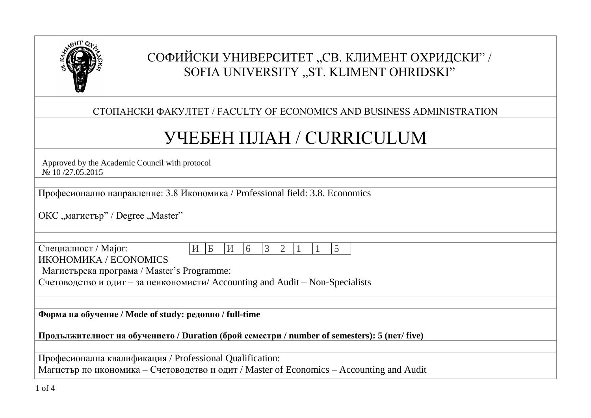

# СОФИЙСКИ УНИВЕРСИТЕТ "СВ. КЛИМЕНТ ОХРИДСКИ" / SOFIA UNIVERSITY "ST. KLIMENT OHRIDSKI"

### СТОПАНСКИ ФАКУЛТЕТ / FACULTY OF ECONOMICS AND BUSINESS ADMINISTRATION

# УЧЕБЕН ПЛАН / CURRICULUM

Approved by the Academic Council with protocol № 10 /27.05.2015

Професионално направление: 3.8 Икономика / Professional field: 3.8. Economics

ОКС "магистър" / Degree "Master"

| $\Gamma$ Специалност / Major: |  |  |  |  |  |
|-------------------------------|--|--|--|--|--|
| ИКОНОМИКА / ECONOMICS         |  |  |  |  |  |

Магистърска програма / Master's Programme:

Счетоводство и одит – за неикономисти/ Accounting and Audit – Non-Specialists

**Форма на обучение / Mode of study: редовно / full-time**

**Продължителност на обучението / Duration (брой семестри / number of semesters): 5 (пет/ five)**

Професионална квалификация / Professional Qualification:

Магистър по икономика – Счетоводство и одит / Master of Economics – Accounting and Audit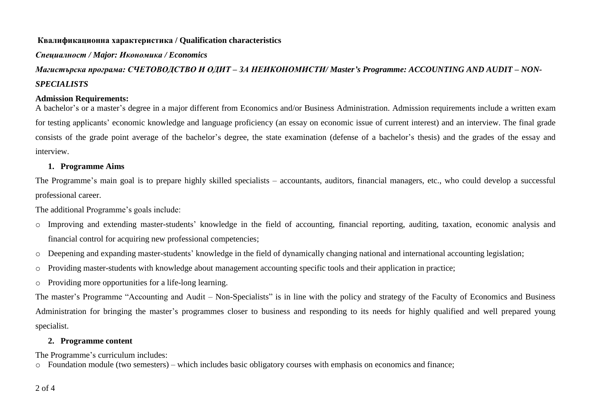#### **Квалификационна характеристика / Qualification characteristics**

#### *Специалност / Major: Икономика / Economics*

## *Магистърска програма: СЧЕТОВОДСТВО И ОДИТ – ЗА НЕИКОНОМИСТИ/ Master's Programme: ACCOUNTING AND AUDIT – NON-SPECIALISTS*

#### **Admission Requirements:**

A bachelor's or a master's degree in a major different from Economics and/or Business Administration. Admission requirements include a written exam for testing applicants' economic knowledge and language proficiency (an essay on economic issue of current interest) and an interview. The final grade consists of the grade point average of the bachelor's degree, the state examination (defense of a bachelor's thesis) and the grades of the essay and interview.

#### **1. Programme Aims**

The Programme's main goal is to prepare highly skilled specialists – accountants, auditors, financial managers, etc., who could develop a successful professional career.

The additional Programme's goals include:

- o Improving and extending master-students' knowledge in the field of accounting, financial reporting, auditing, taxation, economic analysis and financial control for acquiring new professional competencies;
- o Deepening and expanding master-students' knowledge in the field of dynamically changing national and international accounting legislation;
- o Providing master-students with knowledge about management accounting specific tools and their application in practice;
- o Providing more opportunities for a life-long learning.

The master's Programme "Accounting and Audit – Non-Specialists" is in line with the policy and strategy of the Faculty of Economics and Business Administration for bringing the master's programmes closer to business and responding to its needs for highly qualified and well prepared young specialist.

#### **2. Programme content**

The Programme's curriculum includes:

o Foundation module (two semesters) – which includes basic obligatory courses with emphasis on economics and finance;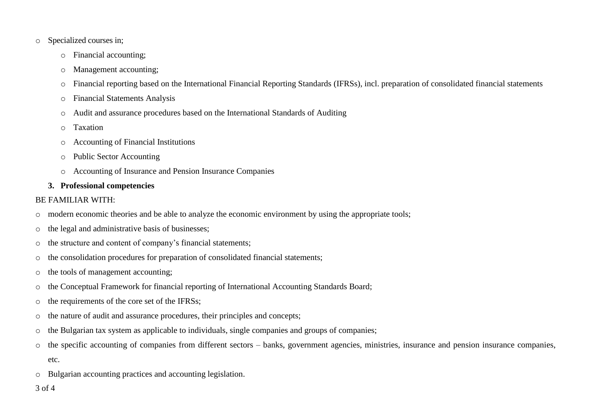- o Specialized courses in;
	- o Financial accounting;
	- o Management accounting;
	- o Financial reporting based on the International Financial Reporting Standards (IFRSs), incl. preparation of consolidated financial statements
	- o Financial Statements Analysis
	- o Audit and assurance procedures based on the International Standards of Auditing
	- o Taxation
	- o Accounting of Financial Institutions
	- o Public Sector Accounting
	- o Accounting of Insurance and Pension Insurance Companies

#### **3. Professional competencies**

#### BE FAMILIAR WITH:

- o modern economic theories and be able to analyze the economic environment by using the appropriate tools;
- o the legal and administrative basis of businesses;
- o the structure and content of company's financial statements;
- $\circ$  the consolidation procedures for preparation of consolidated financial statements;
- o the tools of management accounting;
- o the Conceptual Framework for financial reporting of International Accounting Standards Board;
- o the requirements of the core set of the IFRSs;
- o the nature of audit and assurance procedures, their principles and concepts;
- o the Bulgarian tax system as applicable to individuals, single companies and groups of companies;
- o the specific accounting of companies from different sectors banks, government agencies, ministries, insurance and pension insurance companies, etc.
- o Bulgarian accounting practices and accounting legislation.

#### 3 of 4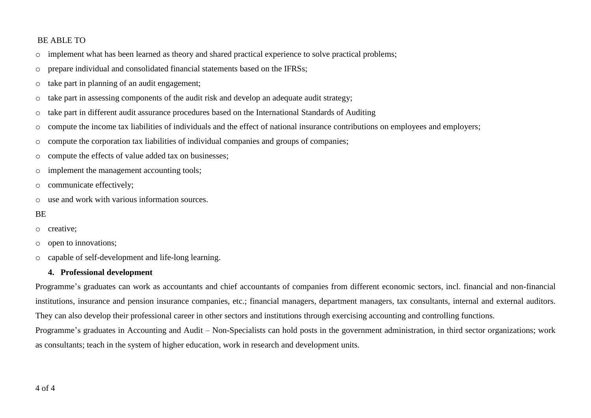#### BE ABLE TO

- o implement what has been learned as theory and shared practical experience to solve practical problems;
- o prepare individual and consolidated financial statements based on the IFRSs;
- o take part in planning of an audit engagement;
- o take part in assessing components of the audit risk and develop an adequate audit strategy;
- o take part in different audit assurance procedures based on the International Standards of Auditing
- o compute the income tax liabilities of individuals and the effect of national insurance contributions on employees and employers;
- $\circ$  compute the corporation tax liabilities of individual companies and groups of companies;
- o compute the effects of value added tax on businesses;
- o implement the management accounting tools;
- o communicate effectively;
- $\circ$  use and work with various information sources.
- **BE**
- o creative;
- o open to innovations;
- o capable of self-development and life-long learning.

#### **4. Professional development**

Programme's graduates can work as accountants and chief accountants of companies from different economic sectors, incl. financial and non-financial institutions, insurance and pension insurance companies, etc.; financial managers, department managers, tax consultants, internal and external auditors. They can also develop their professional career in other sectors and institutions through exercising accounting and controlling functions.

Programme's graduates in Accounting and Audit – Non-Specialists can hold posts in the government administration, in third sector organizations; work as consultants; teach in the system of higher education, work in research and development units.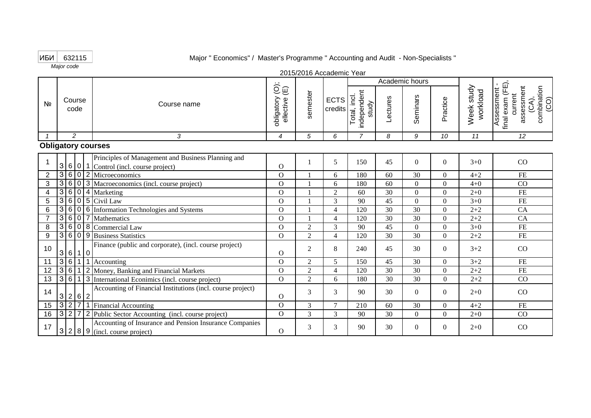#### ИБИ 632115

*Major code*

Major " Economics" / Master's Programme " Accounting and Audit - Non-Specialists "

|                |                           |                                                                                                            |                                                                                    | ZVIVZVIV AUUQUUIIIU TUQI |                          |                                     |          | Academic hours |          |                        |                                                                                           |
|----------------|---------------------------|------------------------------------------------------------------------------------------------------------|------------------------------------------------------------------------------------|--------------------------|--------------------------|-------------------------------------|----------|----------------|----------|------------------------|-------------------------------------------------------------------------------------------|
| N <sub>2</sub> | Course<br>code            | Course name                                                                                                | $\overleftrightarrow{\mathbb{O}}\,\widehat{\mathbb{U}}$<br>obligatory<br>ellective | semester                 | ECTS<br>credits          | independent<br>Total, incl<br>study | Lectures | Seminars       | Practice | Week study<br>workload | Assessment -<br>final exam (FE),<br>assessment<br>(CA),<br>combination<br>(CO)<br>current |
|                | $\mathcal{P}$             | 3                                                                                                          | $\overline{4}$                                                                     | 5                        | 6                        | $\overline{7}$                      | 8        | 9              | 10       | 11                     | 12                                                                                        |
|                | <b>Obligatory courses</b> |                                                                                                            |                                                                                    |                          |                          |                                     |          |                |          |                        |                                                                                           |
|                |                           | Principles of Management and Business Planning and<br>$3 6 0 1$ Control (incl. course project)             | $\Omega$                                                                           |                          | 5                        | 150                                 | 45       | $\Omega$       | $\Omega$ | $3+0$                  | CO                                                                                        |
| $\overline{2}$ |                           | 3 6 0 2 Microeconomics                                                                                     | $\Omega$                                                                           |                          | 6                        | 180                                 | 60       | 30             | $\Omega$ | $4 + 2$                | <b>FE</b>                                                                                 |
| 3              |                           | 3 6 0 3 Macroeconomics (incl. course project)                                                              | $\Omega$                                                                           |                          | 6                        | 180                                 | 60       | $\Omega$       | $\Omega$ | $4 + 0$                | CO                                                                                        |
| 4              | $3 6 0 4$ Marketing       |                                                                                                            | $\Omega$                                                                           |                          | $\overline{2}$           | 60                                  | 30       | $\Omega$       | $\Omega$ | $2+0$                  | <b>FE</b>                                                                                 |
| 5              | $3 6 0 5$ Civil Law       |                                                                                                            | $\Omega$                                                                           |                          | 3                        | 90                                  | 45       | $\Omega$       | $\Omega$ | $3 + 0$                | <b>FE</b>                                                                                 |
| 6              |                           | 3606 Information Technologies and Systems                                                                  | $\overline{O}$                                                                     |                          | $\overline{\mathcal{A}}$ | 120                                 | 30       | 30             | $\Omega$ | $2 + 2$                | CA                                                                                        |
|                |                           | 3607Mathematics                                                                                            | $\Omega$                                                                           |                          | $\overline{\mathcal{A}}$ | 120                                 | 30       | 30             | $\Omega$ | $2 + 2$                | CA                                                                                        |
| 8              |                           | 3608 Commercial Law                                                                                        | $\overline{O}$                                                                     | $\overline{2}$           | 3                        | 90                                  | 45       | $\Omega$       | $\Omega$ | $3 + 0$                | FE                                                                                        |
| 9              |                           | 3 6 0 9 Business Statistics                                                                                | $\Omega$                                                                           | $\overline{2}$           | $\overline{4}$           | 120                                 | 30       | 30             | $\Omega$ | $2 + 2$                | <b>FE</b>                                                                                 |
| 10             | 3 6 1 0                   | Finance (public and corporate), (incl. course project)                                                     | $\Omega$                                                                           | $\overline{2}$           | 8                        | 240                                 | 45       | 30             | $\Omega$ | $3 + 2$                | CO                                                                                        |
| 11             |                           | $3 6 1 1$ Accounting                                                                                       | $\mathbf{O}$                                                                       | $\overline{2}$           | 5                        | 150                                 | 45       | 30             | $\Omega$ | $3 + 2$                | FE                                                                                        |
| 12             |                           | 3 6 1 2 Money, Banking and Financial Markets                                                               | $\Omega$                                                                           | $\overline{2}$           | $\overline{4}$           | 120                                 | 30       | 30             | $\Omega$ | $2 + 2$                | <b>FE</b>                                                                                 |
| 13             |                           | 3 6 1 3 International Econimics (incl. course project)                                                     | $\Omega$                                                                           | 2                        | 6                        | 180                                 | 30       | 30             | $\Omega$ | $2 + 2$                | CO                                                                                        |
| 14             | 2 6 2<br>3                | Accounting of Financial Institutions (incl. course project)                                                | O                                                                                  | 3                        | 3                        | 90                                  | 30       | $\Omega$       | $\Omega$ | $2+0$                  | CO                                                                                        |
| 15             |                           | 3 2 7 1 Financial Accounting                                                                               | $\Omega$                                                                           | 3                        | $\tau$                   | 210                                 | 60       | 30             | $\Omega$ | $4 + 2$                | $\rm FE$                                                                                  |
| 16             |                           | 327 2 Public Sector Accounting (incl. course project)                                                      | $\overline{O}$                                                                     | 3                        | 3                        | 90                                  | 30       | $\Omega$       | $\theta$ | $2 + 0$                | CO                                                                                        |
| 17             |                           | Accounting of Insurance and Pension Insurance Companies<br>$3 \mid 2 \mid 8 \mid 9$ (incl. course project) | $\mathbf{O}$                                                                       | 3                        | 3                        | 90                                  | 30       | $\Omega$       | $\Omega$ | $2+0$                  | CO                                                                                        |

2015/2016 Accademic Year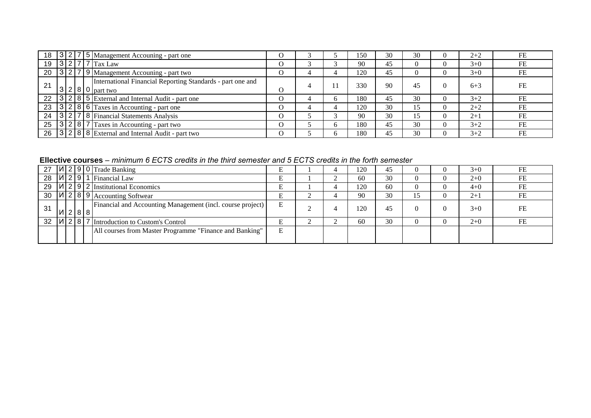| 18 |  | 3275 Management Accouning - part one                                                            |          |  | l 50 | 30 | 30 | $2+2$   | FE |
|----|--|-------------------------------------------------------------------------------------------------|----------|--|------|----|----|---------|----|
| 19 |  | $3277$ Tax Law                                                                                  |          |  | 90   | 45 |    | $3+0$   | FE |
| 20 |  | 3279 Management Accouning - part two                                                            | O        |  | 120  | 45 |    | $3+0$   | FE |
| 21 |  | International Financial Reporting Standards - part one and<br>$ 3 2 8 0 $ part two              | O        |  | 330  | 90 |    | $6 + 3$ | FE |
| 22 |  | 3285 External and Internal Audit - part one                                                     |          |  | 180  | 45 | 30 | $3 + 2$ | FE |
| 23 |  | $\boxed{3}$ $\boxed{2}$ $\boxed{8}$ $\boxed{6}$ $\boxed{Taxes \text{ in}$ Accounting - part one | $\Omega$ |  | 120  | 30 |    | $2+2$   | FE |
| 24 |  | 3278 Financial Statements Analysis                                                              | $\Omega$ |  | 90   | 30 |    | $2+1$   | FE |
| 25 |  | 3287 Taxes in Accounting - part two                                                             | $\Omega$ |  | 180  | 45 | 30 | $3 + 2$ | FE |
|    |  | 26 3 2 8 8 External and Internal Audit - part two                                               | $\Omega$ |  | 180  | 45 | 30 | $3+2$   | FE |

**Ellective courses** *– minimum 6 ECTS credits in the third semester and 5 ECTS credits in the forth semester* 

| 27 |         |  | $ A $ 2 9 0 Trade Banking                                  |   |  | 120   | 45 |  | $3+0$ | FE |
|----|---------|--|------------------------------------------------------------|---|--|-------|----|--|-------|----|
| 28 |         |  | $ U $ 2 9 1 Financial Law                                  |   |  | 60    | 30 |  | $2+0$ | FE |
| 29 |         |  | $ U $ 2 9 2 Institutional Economics                        |   |  | 120   | 60 |  | $4+0$ | FE |
| 30 |         |  | $ U $ 2   8   9   Accounting Softwear                      |   |  | 90    | 30 |  | $2+1$ | FE |
| 31 | И 2 8 8 |  | Financial and Accounting Management (incl. course project) | E |  | i 20. | 45 |  | $3+0$ | FE |
| 32 |         |  | $ U $ 2   8   7  Introduction to Custom's Control          |   |  | 60    | 30 |  | $2+0$ | FE |
|    |         |  | All courses from Master Programme "Finance and Banking"    | Ε |  |       |    |  |       |    |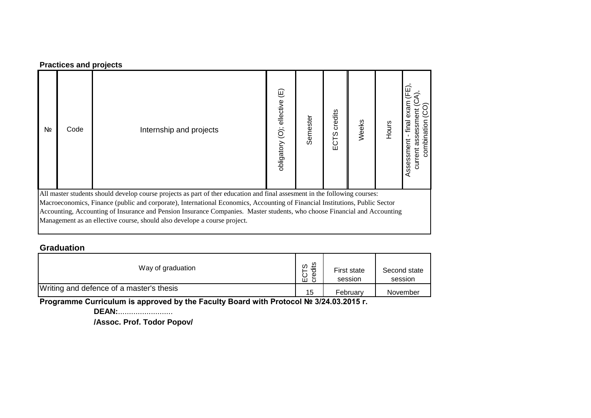#### **Practices and projects**

| Nº | Code | Internship and projects                                                                                                                                                                                                                                    | $\widehat{\mathbb{E}}$<br>obligatory (O); ellective | Semester | credits<br>w<br>ECT | Weeks | Hours | final<br>eri<br>ف<br>8<br>sses<br>킁 |
|----|------|------------------------------------------------------------------------------------------------------------------------------------------------------------------------------------------------------------------------------------------------------------|-----------------------------------------------------|----------|---------------------|-------|-------|-------------------------------------|
|    |      | All master students should develop course projects as part of ther education and final assesment in the following courses:<br>Macroeconomics, Finance (public and corporate), International Economics, Accounting of Financial Institutions, Public Sector |                                                     |          |                     |       |       |                                     |

Accounting, Accounting of Insurance and Pension Insurance Companies. Master students, who choose Financial and Accounting Management as an ellective course, should also develope a course project.

#### **Graduation**

| Way of graduation                        | ΞÉ<br>ഗ<br>℧<br>Φ<br>ب<br>ш<br>ం | First state<br>session | Second state<br>session |
|------------------------------------------|----------------------------------|------------------------|-------------------------|
| Writing and defence of a master's thesis | 15                               | February               | November                |

**Programme Curriculum is approved by the Faculty Board with Protocol № 3/24.03.2015 г.**

**DEAN:**.........................

**/Assoc. Prof. Todor Popov/**